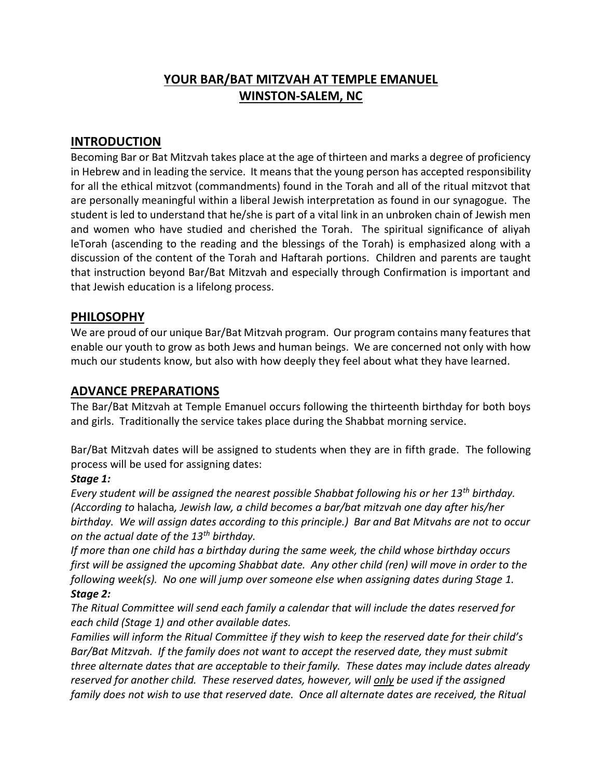# **YOUR BAR/BAT MITZVAH AT TEMPLE EMANUEL WINSTON-SALEM, NC**

## **INTRODUCTION**

Becoming Bar or Bat Mitzvah takes place at the age of thirteen and marks a degree of proficiency in Hebrew and in leading the service. It means that the young person has accepted responsibility for all the ethical mitzvot (commandments) found in the Torah and all of the ritual mitzvot that are personally meaningful within a liberal Jewish interpretation as found in our synagogue. The student is led to understand that he/she is part of a vital link in an unbroken chain of Jewish men and women who have studied and cherished the Torah. The spiritual significance of aliyah leTorah (ascending to the reading and the blessings of the Torah) is emphasized along with a discussion of the content of the Torah and Haftarah portions. Children and parents are taught that instruction beyond Bar/Bat Mitzvah and especially through Confirmation is important and that Jewish education is a lifelong process.

#### **PHILOSOPHY**

We are proud of our unique Bar/Bat Mitzvah program. Our program contains many features that enable our youth to grow as both Jews and human beings. We are concerned not only with how much our students know, but also with how deeply they feel about what they have learned.

### **ADVANCE PREPARATIONS**

The Bar/Bat Mitzvah at Temple Emanuel occurs following the thirteenth birthday for both boys and girls. Traditionally the service takes place during the Shabbat morning service.

Bar/Bat Mitzvah dates will be assigned to students when they are in fifth grade. The following process will be used for assigning dates:

#### *Stage 1:*

*Every student will be assigned the nearest possible Shabbat following his or her 13th birthday. (According to* halacha*, Jewish law, a child becomes a bar/bat mitzvah one day after his/her birthday. We will assign dates according to this principle.) Bar and Bat Mitvahs are not to occur on the actual date of the 13th birthday.*

*If more than one child has a birthday during the same week, the child whose birthday occurs first will be assigned the upcoming Shabbat date. Any other child (ren) will move in order to the following week(s). No one will jump over someone else when assigning dates during Stage 1. Stage 2:*

#### *The Ritual Committee will send each family a calendar that will include the dates reserved for each child (Stage 1) and other available dates.*

*Families will inform the Ritual Committee if they wish to keep the reserved date for their child's Bar/Bat Mitzvah. If the family does not want to accept the reserved date, they must submit three alternate dates that are acceptable to their family. These dates may include dates already reserved for another child. These reserved dates, however, will only be used if the assigned family does not wish to use that reserved date. Once all alternate dates are received, the Ritual*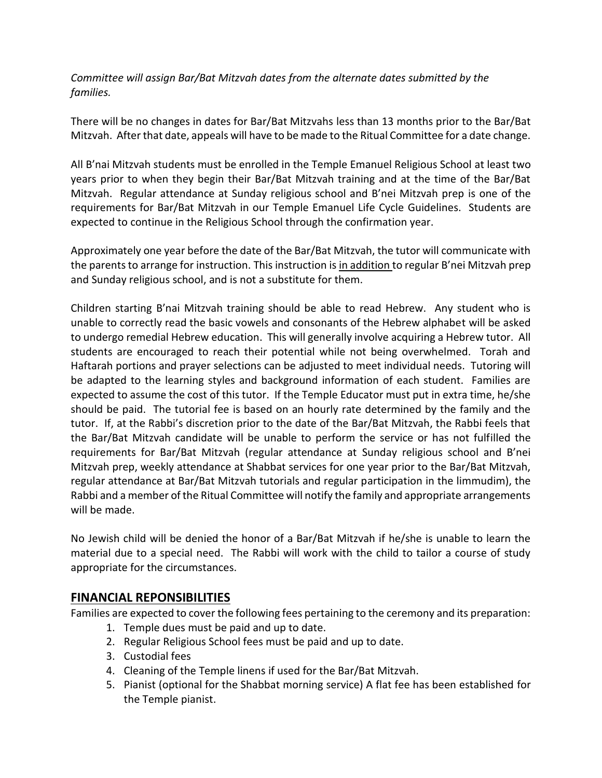*Committee will assign Bar/Bat Mitzvah dates from the alternate dates submitted by the families.*

There will be no changes in dates for Bar/Bat Mitzvahs less than 13 months prior to the Bar/Bat Mitzvah. After that date, appeals will have to be made to the Ritual Committee for a date change.

All B'nai Mitzvah students must be enrolled in the Temple Emanuel Religious School at least two years prior to when they begin their Bar/Bat Mitzvah training and at the time of the Bar/Bat Mitzvah. Regular attendance at Sunday religious school and B'nei Mitzvah prep is one of the requirements for Bar/Bat Mitzvah in our Temple Emanuel Life Cycle Guidelines. Students are expected to continue in the Religious School through the confirmation year.

Approximately one year before the date of the Bar/Bat Mitzvah, the tutor will communicate with the parents to arrange for instruction. This instruction is in addition to regular B'nei Mitzvah prep and Sunday religious school, and is not a substitute for them.

Children starting B'nai Mitzvah training should be able to read Hebrew. Any student who is unable to correctly read the basic vowels and consonants of the Hebrew alphabet will be asked to undergo remedial Hebrew education. This will generally involve acquiring a Hebrew tutor. All students are encouraged to reach their potential while not being overwhelmed. Torah and Haftarah portions and prayer selections can be adjusted to meet individual needs. Tutoring will be adapted to the learning styles and background information of each student. Families are expected to assume the cost of this tutor. If the Temple Educator must put in extra time, he/she should be paid. The tutorial fee is based on an hourly rate determined by the family and the tutor. If, at the Rabbi's discretion prior to the date of the Bar/Bat Mitzvah, the Rabbi feels that the Bar/Bat Mitzvah candidate will be unable to perform the service or has not fulfilled the requirements for Bar/Bat Mitzvah (regular attendance at Sunday religious school and B'nei Mitzvah prep, weekly attendance at Shabbat services for one year prior to the Bar/Bat Mitzvah, regular attendance at Bar/Bat Mitzvah tutorials and regular participation in the limmudim), the Rabbi and a member of the Ritual Committee will notify the family and appropriate arrangements will be made.

No Jewish child will be denied the honor of a Bar/Bat Mitzvah if he/she is unable to learn the material due to a special need. The Rabbi will work with the child to tailor a course of study appropriate for the circumstances.

### **FINANCIAL REPONSIBILITIES**

Families are expected to cover the following fees pertaining to the ceremony and its preparation:

- 1. Temple dues must be paid and up to date.
- 2. Regular Religious School fees must be paid and up to date.
- 3. Custodial fees
- 4. Cleaning of the Temple linens if used for the Bar/Bat Mitzvah.
- 5. Pianist (optional for the Shabbat morning service) A flat fee has been established for the Temple pianist.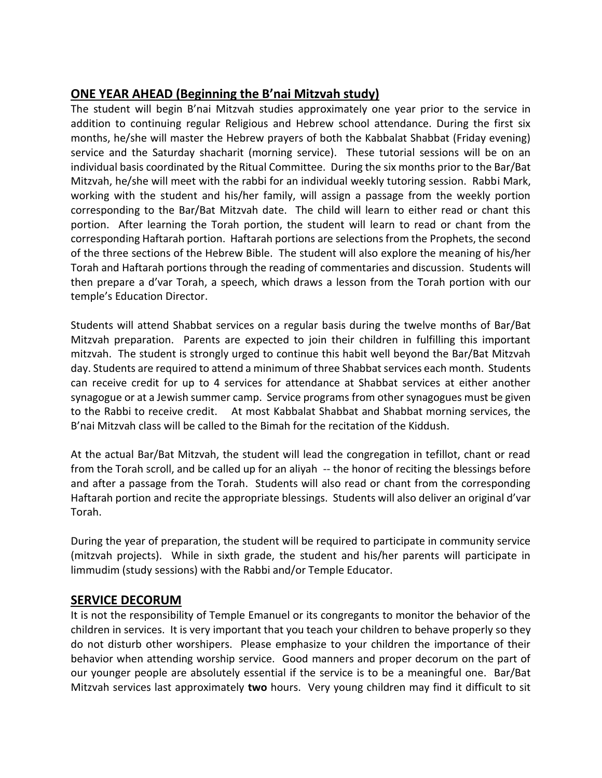# **ONE YEAR AHEAD (Beginning the B'nai Mitzvah study)**

The student will begin B'nai Mitzvah studies approximately one year prior to the service in addition to continuing regular Religious and Hebrew school attendance. During the first six months, he/she will master the Hebrew prayers of both the Kabbalat Shabbat (Friday evening) service and the Saturday shacharit (morning service). These tutorial sessions will be on an individual basis coordinated by the Ritual Committee. During the six months prior to the Bar/Bat Mitzvah, he/she will meet with the rabbi for an individual weekly tutoring session. Rabbi Mark, working with the student and his/her family, will assign a passage from the weekly portion corresponding to the Bar/Bat Mitzvah date. The child will learn to either read or chant this portion. After learning the Torah portion, the student will learn to read or chant from the corresponding Haftarah portion. Haftarah portions are selections from the Prophets, the second of the three sections of the Hebrew Bible. The student will also explore the meaning of his/her Torah and Haftarah portions through the reading of commentaries and discussion. Students will then prepare a d'var Torah, a speech, which draws a lesson from the Torah portion with our temple's Education Director.

Students will attend Shabbat services on a regular basis during the twelve months of Bar/Bat Mitzvah preparation. Parents are expected to join their children in fulfilling this important mitzvah. The student is strongly urged to continue this habit well beyond the Bar/Bat Mitzvah day. Students are required to attend a minimum of three Shabbat services each month. Students can receive credit for up to 4 services for attendance at Shabbat services at either another synagogue or at a Jewish summer camp. Service programs from other synagogues must be given to the Rabbi to receive credit. At most Kabbalat Shabbat and Shabbat morning services, the B'nai Mitzvah class will be called to the Bimah for the recitation of the Kiddush.

At the actual Bar/Bat Mitzvah, the student will lead the congregation in tefillot, chant or read from the Torah scroll, and be called up for an aliyah -- the honor of reciting the blessings before and after a passage from the Torah. Students will also read or chant from the corresponding Haftarah portion and recite the appropriate blessings. Students will also deliver an original d'var Torah.

During the year of preparation, the student will be required to participate in community service (mitzvah projects). While in sixth grade, the student and his/her parents will participate in limmudim (study sessions) with the Rabbi and/or Temple Educator.

### **SERVICE DECORUM**

It is not the responsibility of Temple Emanuel or its congregants to monitor the behavior of the children in services. It is very important that you teach your children to behave properly so they do not disturb other worshipers. Please emphasize to your children the importance of their behavior when attending worship service. Good manners and proper decorum on the part of our younger people are absolutely essential if the service is to be a meaningful one. Bar/Bat Mitzvah services last approximately **two** hours. Very young children may find it difficult to sit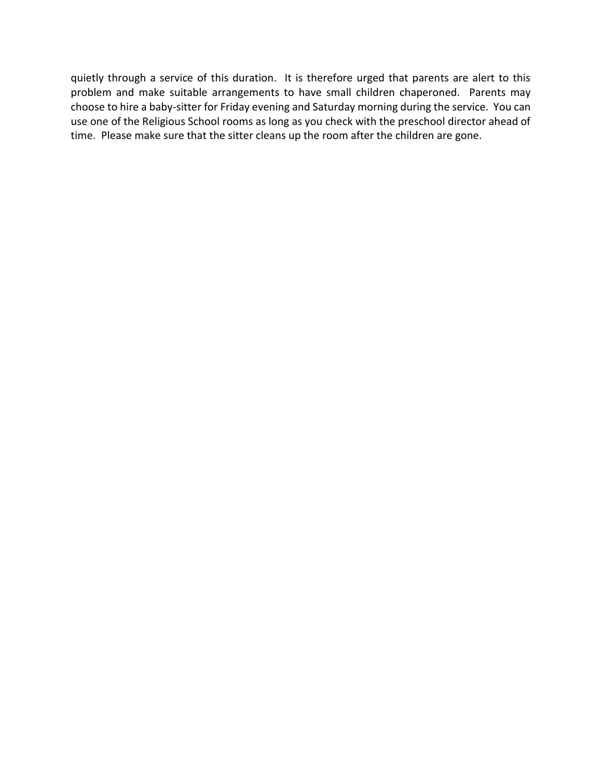quietly through a service of this duration. It is therefore urged that parents are alert to this problem and make suitable arrangements to have small children chaperoned. Parents may choose to hire a baby-sitter for Friday evening and Saturday morning during the service. You can use one of the Religious School rooms as long as you check with the preschool director ahead of time. Please make sure that the sitter cleans up the room after the children are gone.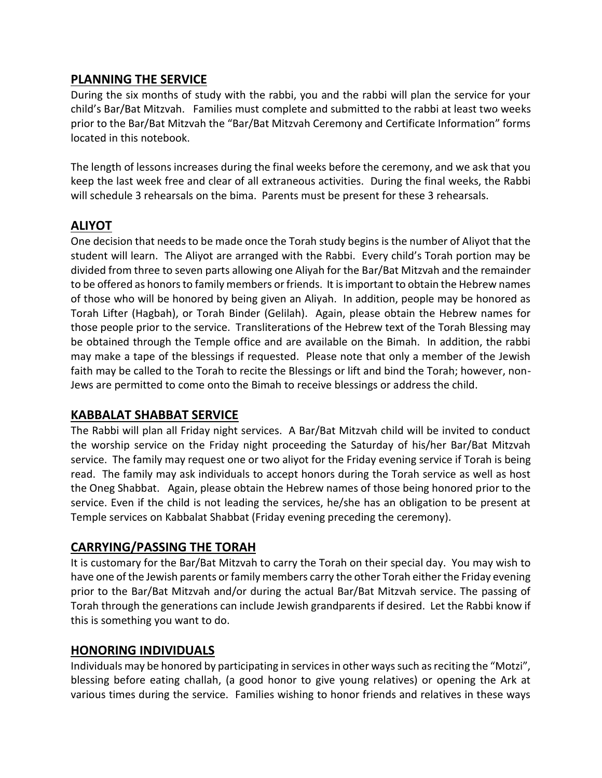## **PLANNING THE SERVICE**

During the six months of study with the rabbi, you and the rabbi will plan the service for your child's Bar/Bat Mitzvah. Families must complete and submitted to the rabbi at least two weeks prior to the Bar/Bat Mitzvah the "Bar/Bat Mitzvah Ceremony and Certificate Information" forms located in this notebook.

The length of lessons increases during the final weeks before the ceremony, and we ask that you keep the last week free and clear of all extraneous activities. During the final weeks, the Rabbi will schedule 3 rehearsals on the bima. Parents must be present for these 3 rehearsals.

## **ALIYOT**

One decision that needs to be made once the Torah study begins is the number of Aliyot that the student will learn. The Aliyot are arranged with the Rabbi. Every child's Torah portion may be divided from three to seven parts allowing one Aliyah for the Bar/Bat Mitzvah and the remainder to be offered as honors to family members or friends. It is important to obtain the Hebrew names of those who will be honored by being given an Aliyah. In addition, people may be honored as Torah Lifter (Hagbah), or Torah Binder (Gelilah). Again, please obtain the Hebrew names for those people prior to the service. Transliterations of the Hebrew text of the Torah Blessing may be obtained through the Temple office and are available on the Bimah. In addition, the rabbi may make a tape of the blessings if requested. Please note that only a member of the Jewish faith may be called to the Torah to recite the Blessings or lift and bind the Torah; however, non-Jews are permitted to come onto the Bimah to receive blessings or address the child.

### **KABBALAT SHABBAT SERVICE**

The Rabbi will plan all Friday night services. A Bar/Bat Mitzvah child will be invited to conduct the worship service on the Friday night proceeding the Saturday of his/her Bar/Bat Mitzvah service. The family may request one or two aliyot for the Friday evening service if Torah is being read. The family may ask individuals to accept honors during the Torah service as well as host the Oneg Shabbat. Again, please obtain the Hebrew names of those being honored prior to the service. Even if the child is not leading the services, he/she has an obligation to be present at Temple services on Kabbalat Shabbat (Friday evening preceding the ceremony).

### **CARRYING/PASSING THE TORAH**

It is customary for the Bar/Bat Mitzvah to carry the Torah on their special day. You may wish to have one of the Jewish parents or family members carry the other Torah either the Friday evening prior to the Bar/Bat Mitzvah and/or during the actual Bar/Bat Mitzvah service. The passing of Torah through the generations can include Jewish grandparents if desired. Let the Rabbi know if this is something you want to do.

### **HONORING INDIVIDUALS**

Individuals may be honored by participating in services in other ways such as reciting the "Motzi", blessing before eating challah, (a good honor to give young relatives) or opening the Ark at various times during the service. Families wishing to honor friends and relatives in these ways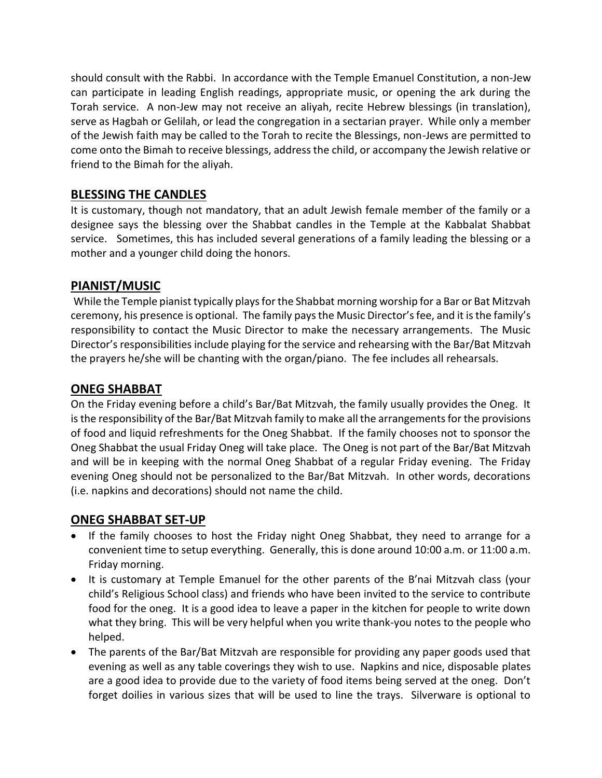should consult with the Rabbi. In accordance with the Temple Emanuel Constitution, a non-Jew can participate in leading English readings, appropriate music, or opening the ark during the Torah service. A non-Jew may not receive an aliyah, recite Hebrew blessings (in translation), serve as Hagbah or Gelilah, or lead the congregation in a sectarian prayer. While only a member of the Jewish faith may be called to the Torah to recite the Blessings, non-Jews are permitted to come onto the Bimah to receive blessings, address the child, or accompany the Jewish relative or friend to the Bimah for the aliyah.

### **BLESSING THE CANDLES**

It is customary, though not mandatory, that an adult Jewish female member of the family or a designee says the blessing over the Shabbat candles in the Temple at the Kabbalat Shabbat service. Sometimes, this has included several generations of a family leading the blessing or a mother and a younger child doing the honors.

## **PIANIST/MUSIC**

While the Temple pianist typically plays for the Shabbat morning worship for a Bar or Bat Mitzvah ceremony, his presence is optional. The family pays the Music Director's fee, and it is the family's responsibility to contact the Music Director to make the necessary arrangements. The Music Director's responsibilities include playing for the service and rehearsing with the Bar/Bat Mitzvah the prayers he/she will be chanting with the organ/piano. The fee includes all rehearsals.

### **ONEG SHABBAT**

On the Friday evening before a child's Bar/Bat Mitzvah, the family usually provides the Oneg. It is the responsibility of the Bar/Bat Mitzvah family to make all the arrangements for the provisions of food and liquid refreshments for the Oneg Shabbat. If the family chooses not to sponsor the Oneg Shabbat the usual Friday Oneg will take place. The Oneg is not part of the Bar/Bat Mitzvah and will be in keeping with the normal Oneg Shabbat of a regular Friday evening. The Friday evening Oneg should not be personalized to the Bar/Bat Mitzvah. In other words, decorations (i.e. napkins and decorations) should not name the child.

### **ONEG SHABBAT SET-UP**

- If the family chooses to host the Friday night Oneg Shabbat, they need to arrange for a convenient time to setup everything. Generally, this is done around 10:00 a.m. or 11:00 a.m. Friday morning.
- It is customary at Temple Emanuel for the other parents of the B'nai Mitzvah class (your child's Religious School class) and friends who have been invited to the service to contribute food for the oneg. It is a good idea to leave a paper in the kitchen for people to write down what they bring. This will be very helpful when you write thank-you notes to the people who helped.
- The parents of the Bar/Bat Mitzvah are responsible for providing any paper goods used that evening as well as any table coverings they wish to use. Napkins and nice, disposable plates are a good idea to provide due to the variety of food items being served at the oneg. Don't forget doilies in various sizes that will be used to line the trays. Silverware is optional to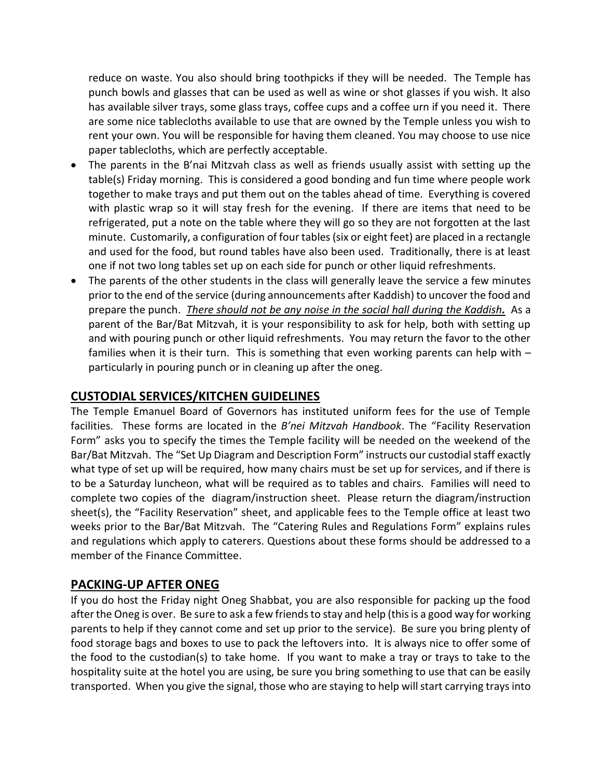reduce on waste. You also should bring toothpicks if they will be needed. The Temple has punch bowls and glasses that can be used as well as wine or shot glasses if you wish. It also has available silver trays, some glass trays, coffee cups and a coffee urn if you need it. There are some nice tablecloths available to use that are owned by the Temple unless you wish to rent your own. You will be responsible for having them cleaned. You may choose to use nice paper tablecloths, which are perfectly acceptable.

- The parents in the B'nai Mitzvah class as well as friends usually assist with setting up the table(s) Friday morning. This is considered a good bonding and fun time where people work together to make trays and put them out on the tables ahead of time. Everything is covered with plastic wrap so it will stay fresh for the evening. If there are items that need to be refrigerated, put a note on the table where they will go so they are not forgotten at the last minute. Customarily, a configuration of four tables (six or eight feet) are placed in a rectangle and used for the food, but round tables have also been used. Traditionally, there is at least one if not two long tables set up on each side for punch or other liquid refreshments.
- The parents of the other students in the class will generally leave the service a few minutes prior to the end of the service (during announcements after Kaddish) to uncover the food and prepare the punch.*There should not be any noise in the social hall during the Kaddish.* As a parent of the Bar/Bat Mitzvah, it is your responsibility to ask for help, both with setting up and with pouring punch or other liquid refreshments. You may return the favor to the other families when it is their turn. This is something that even working parents can help with  $$ particularly in pouring punch or in cleaning up after the oneg.

### **CUSTODIAL SERVICES/KITCHEN GUIDELINES**

The Temple Emanuel Board of Governors has instituted uniform fees for the use of Temple facilities. These forms are located in the *B'nei Mitzvah Handbook*. The "Facility Reservation Form" asks you to specify the times the Temple facility will be needed on the weekend of the Bar/Bat Mitzvah. The "Set Up Diagram and Description Form" instructs our custodial staff exactly what type of set up will be required, how many chairs must be set up for services, and if there is to be a Saturday luncheon, what will be required as to tables and chairs. Families will need to complete two copies of the diagram/instruction sheet. Please return the diagram/instruction sheet(s), the "Facility Reservation" sheet, and applicable fees to the Temple office at least two weeks prior to the Bar/Bat Mitzvah. The "Catering Rules and Regulations Form" explains rules and regulations which apply to caterers. Questions about these forms should be addressed to a member of the Finance Committee.

### **PACKING-UP AFTER ONEG**

If you do host the Friday night Oneg Shabbat, you are also responsible for packing up the food after the Oneg is over. Be sure to ask a few friends to stay and help (this is a good way for working parents to help if they cannot come and set up prior to the service). Be sure you bring plenty of food storage bags and boxes to use to pack the leftovers into. It is always nice to offer some of the food to the custodian(s) to take home. If you want to make a tray or trays to take to the hospitality suite at the hotel you are using, be sure you bring something to use that can be easily transported. When you give the signal, those who are staying to help will start carrying trays into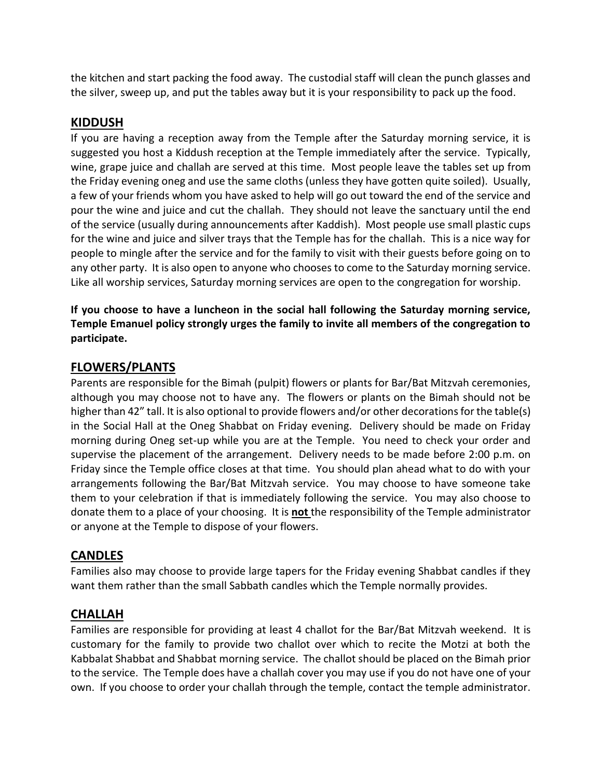the kitchen and start packing the food away. The custodial staff will clean the punch glasses and the silver, sweep up, and put the tables away but it is your responsibility to pack up the food.

#### **KIDDUSH**

If you are having a reception away from the Temple after the Saturday morning service, it is suggested you host a Kiddush reception at the Temple immediately after the service. Typically, wine, grape juice and challah are served at this time. Most people leave the tables set up from the Friday evening oneg and use the same cloths (unless they have gotten quite soiled). Usually, a few of your friends whom you have asked to help will go out toward the end of the service and pour the wine and juice and cut the challah. They should not leave the sanctuary until the end of the service (usually during announcements after Kaddish). Most people use small plastic cups for the wine and juice and silver trays that the Temple has for the challah. This is a nice way for people to mingle after the service and for the family to visit with their guests before going on to any other party. It is also open to anyone who chooses to come to the Saturday morning service. Like all worship services, Saturday morning services are open to the congregation for worship.

**If you choose to have a luncheon in the social hall following the Saturday morning service, Temple Emanuel policy strongly urges the family to invite all members of the congregation to participate.**

## **FLOWERS/PLANTS**

Parents are responsible for the Bimah (pulpit) flowers or plants for Bar/Bat Mitzvah ceremonies, although you may choose not to have any. The flowers or plants on the Bimah should not be higher than 42" tall. It is also optional to provide flowers and/or other decorations for the table(s) in the Social Hall at the Oneg Shabbat on Friday evening. Delivery should be made on Friday morning during Oneg set-up while you are at the Temple. You need to check your order and supervise the placement of the arrangement. Delivery needs to be made before 2:00 p.m. on Friday since the Temple office closes at that time. You should plan ahead what to do with your arrangements following the Bar/Bat Mitzvah service. You may choose to have someone take them to your celebration if that is immediately following the service. You may also choose to donate them to a place of your choosing. It is **not** the responsibility of the Temple administrator or anyone at the Temple to dispose of your flowers.

### **CANDLES**

Families also may choose to provide large tapers for the Friday evening Shabbat candles if they want them rather than the small Sabbath candles which the Temple normally provides.

### **CHALLAH**

Families are responsible for providing at least 4 challot for the Bar/Bat Mitzvah weekend. It is customary for the family to provide two challot over which to recite the Motzi at both the Kabbalat Shabbat and Shabbat morning service. The challot should be placed on the Bimah prior to the service. The Temple does have a challah cover you may use if you do not have one of your own. If you choose to order your challah through the temple, contact the temple administrator.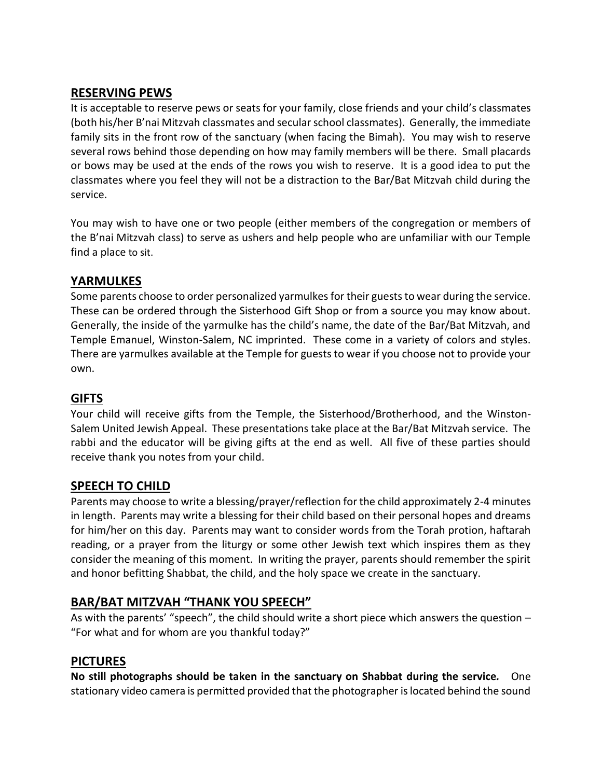# **RESERVING PEWS**

It is acceptable to reserve pews or seats for your family, close friends and your child's classmates (both his/her B'nai Mitzvah classmates and secular school classmates). Generally, the immediate family sits in the front row of the sanctuary (when facing the Bimah). You may wish to reserve several rows behind those depending on how may family members will be there. Small placards or bows may be used at the ends of the rows you wish to reserve. It is a good idea to put the classmates where you feel they will not be a distraction to the Bar/Bat Mitzvah child during the service.

You may wish to have one or two people (either members of the congregation or members of the B'nai Mitzvah class) to serve as ushers and help people who are unfamiliar with our Temple find a place to sit.

## **YARMULKES**

Some parents choose to order personalized yarmulkes for their guests to wear during the service. These can be ordered through the Sisterhood Gift Shop or from a source you may know about. Generally, the inside of the yarmulke has the child's name, the date of the Bar/Bat Mitzvah, and Temple Emanuel, Winston-Salem, NC imprinted. These come in a variety of colors and styles. There are yarmulkes available at the Temple for guests to wear if you choose not to provide your own.

### **GIFTS**

Your child will receive gifts from the Temple, the Sisterhood/Brotherhood, and the Winston-Salem United Jewish Appeal. These presentations take place at the Bar/Bat Mitzvah service. The rabbi and the educator will be giving gifts at the end as well. All five of these parties should receive thank you notes from your child.

### **SPEECH TO CHILD**

Parents may choose to write a blessing/prayer/reflection for the child approximately 2-4 minutes in length. Parents may write a blessing for their child based on their personal hopes and dreams for him/her on this day. Parents may want to consider words from the Torah protion, haftarah reading, or a prayer from the liturgy or some other Jewish text which inspires them as they consider the meaning of this moment. In writing the prayer, parents should remember the spirit and honor befitting Shabbat, the child, and the holy space we create in the sanctuary.

# **BAR/BAT MITZVAH "THANK YOU SPEECH"**

As with the parents' "speech", the child should write a short piece which answers the question – "For what and for whom are you thankful today?"

### **PICTURES**

**No still photographs should be taken in the sanctuary on Shabbat during the service***.* One stationary video camera is permitted provided that the photographer is located behind the sound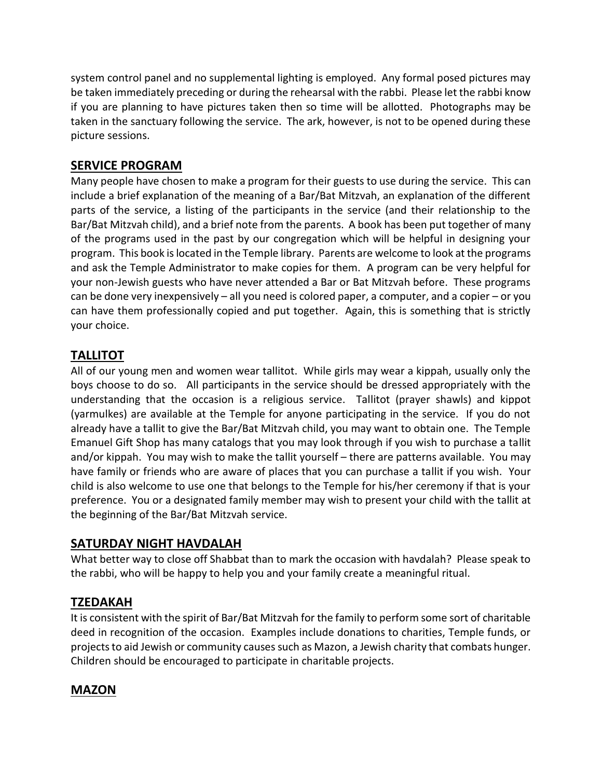system control panel and no supplemental lighting is employed. Any formal posed pictures may be taken immediately preceding or during the rehearsal with the rabbi. Please let the rabbi know if you are planning to have pictures taken then so time will be allotted. Photographs may be taken in the sanctuary following the service. The ark, however, is not to be opened during these picture sessions.

# **SERVICE PROGRAM**

Many people have chosen to make a program for their guests to use during the service. This can include a brief explanation of the meaning of a Bar/Bat Mitzvah, an explanation of the different parts of the service, a listing of the participants in the service (and their relationship to the Bar/Bat Mitzvah child), and a brief note from the parents. A book has been put together of many of the programs used in the past by our congregation which will be helpful in designing your program. This book is located in the Temple library. Parents are welcome to look at the programs and ask the Temple Administrator to make copies for them. A program can be very helpful for your non-Jewish guests who have never attended a Bar or Bat Mitzvah before. These programs can be done very inexpensively – all you need is colored paper, a computer, and a copier – or you can have them professionally copied and put together. Again, this is something that is strictly your choice.

# **TALLITOT**

All of our young men and women wear tallitot. While girls may wear a kippah, usually only the boys choose to do so. All participants in the service should be dressed appropriately with the understanding that the occasion is a religious service. Tallitot (prayer shawls) and kippot (yarmulkes) are available at the Temple for anyone participating in the service. If you do not already have a tallit to give the Bar/Bat Mitzvah child, you may want to obtain one. The Temple Emanuel Gift Shop has many catalogs that you may look through if you wish to purchase a tallit and/or kippah. You may wish to make the tallit yourself – there are patterns available. You may have family or friends who are aware of places that you can purchase a tallit if you wish. Your child is also welcome to use one that belongs to the Temple for his/her ceremony if that is your preference. You or a designated family member may wish to present your child with the tallit at the beginning of the Bar/Bat Mitzvah service.

### **SATURDAY NIGHT HAVDALAH**

What better way to close off Shabbat than to mark the occasion with havdalah? Please speak to the rabbi, who will be happy to help you and your family create a meaningful ritual.

### **TZEDAKAH**

It is consistent with the spirit of Bar/Bat Mitzvah for the family to perform some sort of charitable deed in recognition of the occasion. Examples include donations to charities, Temple funds, or projects to aid Jewish or community causes such as Mazon, a Jewish charity that combats hunger. Children should be encouraged to participate in charitable projects.

### **MAZON**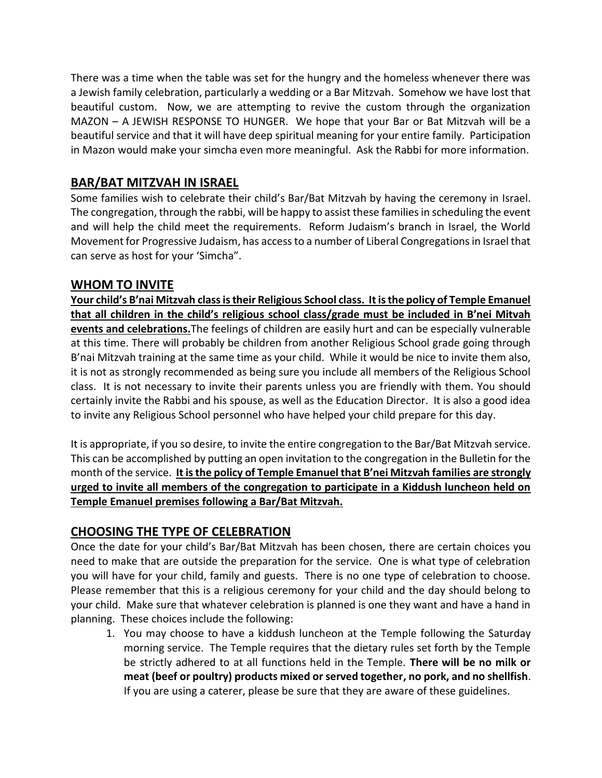There was a time when the table was set for the hungry and the homeless whenever there was a Jewish family celebration, particularly a wedding or a Bar Mitzvah. Somehow we have lost that beautiful custom. Now, we are attempting to revive the custom through the organization MAZON – A JEWISH RESPONSE TO HUNGER. We hope that your Bar or Bat Mitzvah will be a beautiful service and that it will have deep spiritual meaning for your entire family. Participation in Mazon would make your simcha even more meaningful. Ask the Rabbi for more information.

# **BAR/BAT MITZVAH IN ISRAEL**

Some families wish to celebrate their child's Bar/Bat Mitzvah by having the ceremony in Israel. The congregation, through the rabbi, will be happy to assist these families in scheduling the event and will help the child meet the requirements. Reform Judaism's branch in Israel, the World Movement for Progressive Judaism, has access to a number of Liberal Congregations in Israel that can serve as host for your 'Simcha".

## **WHOM TO INVITE**

**Your child's B'nai Mitzvah class is their Religious School class. It is the policy of Temple Emanuel that all children in the child's religious school class/grade must be included in B'nei Mitvah events and celebrations.**The feelings of children are easily hurt and can be especially vulnerable at this time. There will probably be children from another Religious School grade going through B'nai Mitzvah training at the same time as your child. While it would be nice to invite them also, it is not as strongly recommended as being sure you include all members of the Religious School class. It is not necessary to invite their parents unless you are friendly with them. You should certainly invite the Rabbi and his spouse, as well as the Education Director. It is also a good idea to invite any Religious School personnel who have helped your child prepare for this day.

It is appropriate, if you so desire, to invite the entire congregation to the Bar/Bat Mitzvah service. This can be accomplished by putting an open invitation to the congregation in the Bulletin for the month of the service. **It is the policy of Temple Emanuel that B'nei Mitzvah families are strongly urged to invite all members of the congregation to participate in a Kiddush luncheon held on Temple Emanuel premises following a Bar/Bat Mitzvah.**

# **CHOOSING THE TYPE OF CELEBRATION**

Once the date for your child's Bar/Bat Mitzvah has been chosen, there are certain choices you need to make that are outside the preparation for the service. One is what type of celebration you will have for your child, family and guests. There is no one type of celebration to choose. Please remember that this is a religious ceremony for your child and the day should belong to your child. Make sure that whatever celebration is planned is one they want and have a hand in planning. These choices include the following:

1. You may choose to have a kiddush luncheon at the Temple following the Saturday morning service. The Temple requires that the dietary rules set forth by the Temple be strictly adhered to at all functions held in the Temple. **There will be no milk or meat (beef or poultry) products mixed or served together, no pork, and no shellfish**. If you are using a caterer, please be sure that they are aware of these guidelines.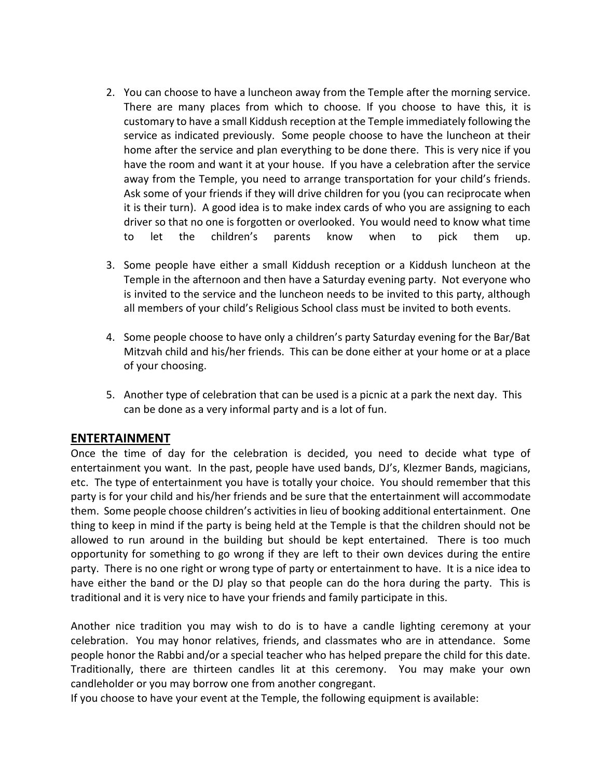- 2. You can choose to have a luncheon away from the Temple after the morning service. There are many places from which to choose. If you choose to have this, it is customary to have a small Kiddush reception at the Temple immediately following the service as indicated previously. Some people choose to have the luncheon at their home after the service and plan everything to be done there. This is very nice if you have the room and want it at your house. If you have a celebration after the service away from the Temple, you need to arrange transportation for your child's friends. Ask some of your friends if they will drive children for you (you can reciprocate when it is their turn). A good idea is to make index cards of who you are assigning to each driver so that no one is forgotten or overlooked. You would need to know what time to let the children's parents know when to pick them up.
- 3. Some people have either a small Kiddush reception or a Kiddush luncheon at the Temple in the afternoon and then have a Saturday evening party. Not everyone who is invited to the service and the luncheon needs to be invited to this party, although all members of your child's Religious School class must be invited to both events.
- 4. Some people choose to have only a children's party Saturday evening for the Bar/Bat Mitzvah child and his/her friends. This can be done either at your home or at a place of your choosing.
- 5. Another type of celebration that can be used is a picnic at a park the next day. This can be done as a very informal party and is a lot of fun.

#### **ENTERTAINMENT**

Once the time of day for the celebration is decided, you need to decide what type of entertainment you want. In the past, people have used bands, DJ's, Klezmer Bands, magicians, etc. The type of entertainment you have is totally your choice. You should remember that this party is for your child and his/her friends and be sure that the entertainment will accommodate them. Some people choose children's activities in lieu of booking additional entertainment. One thing to keep in mind if the party is being held at the Temple is that the children should not be allowed to run around in the building but should be kept entertained. There is too much opportunity for something to go wrong if they are left to their own devices during the entire party. There is no one right or wrong type of party or entertainment to have. It is a nice idea to have either the band or the DJ play so that people can do the hora during the party. This is traditional and it is very nice to have your friends and family participate in this.

Another nice tradition you may wish to do is to have a candle lighting ceremony at your celebration. You may honor relatives, friends, and classmates who are in attendance. Some people honor the Rabbi and/or a special teacher who has helped prepare the child for this date. Traditionally, there are thirteen candles lit at this ceremony. You may make your own candleholder or you may borrow one from another congregant.

If you choose to have your event at the Temple, the following equipment is available: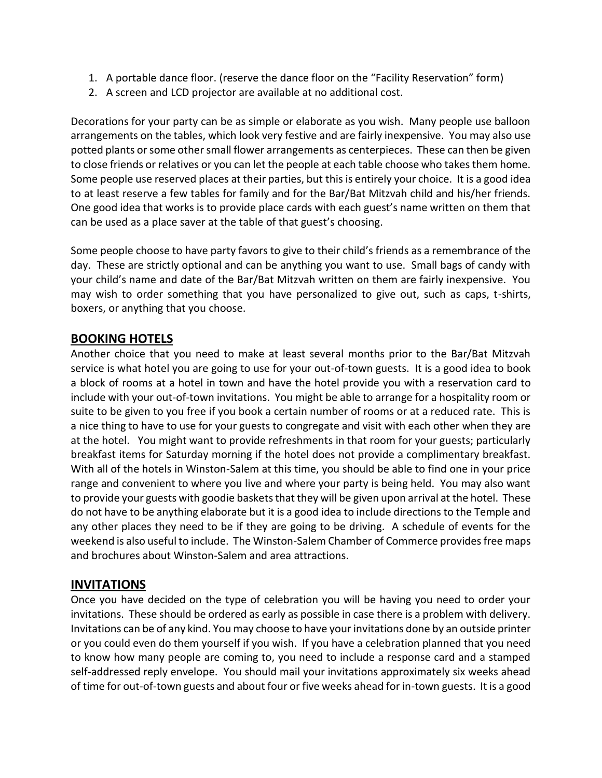- 1. A portable dance floor. (reserve the dance floor on the "Facility Reservation" form)
- 2. A screen and LCD projector are available at no additional cost.

Decorations for your party can be as simple or elaborate as you wish. Many people use balloon arrangements on the tables, which look very festive and are fairly inexpensive. You may also use potted plants or some other small flower arrangements as centerpieces. These can then be given to close friends or relatives or you can let the people at each table choose who takes them home. Some people use reserved places at their parties, but this is entirely your choice. It is a good idea to at least reserve a few tables for family and for the Bar/Bat Mitzvah child and his/her friends. One good idea that works is to provide place cards with each guest's name written on them that can be used as a place saver at the table of that guest's choosing.

Some people choose to have party favors to give to their child's friends as a remembrance of the day. These are strictly optional and can be anything you want to use. Small bags of candy with your child's name and date of the Bar/Bat Mitzvah written on them are fairly inexpensive. You may wish to order something that you have personalized to give out, such as caps, t-shirts, boxers, or anything that you choose.

#### **BOOKING HOTELS**

Another choice that you need to make at least several months prior to the Bar/Bat Mitzvah service is what hotel you are going to use for your out-of-town guests. It is a good idea to book a block of rooms at a hotel in town and have the hotel provide you with a reservation card to include with your out-of-town invitations. You might be able to arrange for a hospitality room or suite to be given to you free if you book a certain number of rooms or at a reduced rate. This is a nice thing to have to use for your guests to congregate and visit with each other when they are at the hotel. You might want to provide refreshments in that room for your guests; particularly breakfast items for Saturday morning if the hotel does not provide a complimentary breakfast. With all of the hotels in Winston-Salem at this time, you should be able to find one in your price range and convenient to where you live and where your party is being held. You may also want to provide your guests with goodie baskets that they will be given upon arrival at the hotel. These do not have to be anything elaborate but it is a good idea to include directions to the Temple and any other places they need to be if they are going to be driving. A schedule of events for the weekend is also useful to include. The Winston-Salem Chamber of Commerce provides free maps and brochures about Winston-Salem and area attractions.

### **INVITATIONS**

Once you have decided on the type of celebration you will be having you need to order your invitations. These should be ordered as early as possible in case there is a problem with delivery. Invitations can be of any kind. You may choose to have your invitations done by an outside printer or you could even do them yourself if you wish. If you have a celebration planned that you need to know how many people are coming to, you need to include a response card and a stamped self-addressed reply envelope. You should mail your invitations approximately six weeks ahead of time for out-of-town guests and about four or five weeks ahead for in-town guests. It is a good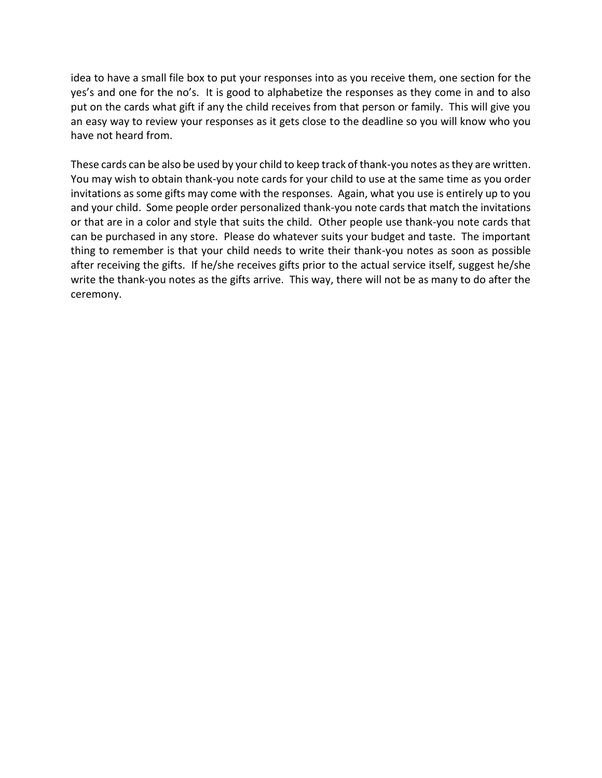idea to have a small file box to put your responses into as you receive them, one section for the yes's and one for the no's. It is good to alphabetize the responses as they come in and to also put on the cards what gift if any the child receives from that person or family. This will give you an easy way to review your responses as it gets close to the deadline so you will know who you have not heard from.

These cards can be also be used by your child to keep track of thank-you notes as they are written. You may wish to obtain thank-you note cards for your child to use at the same time as you order invitations as some gifts may come with the responses. Again, what you use is entirely up to you and your child. Some people order personalized thank-you note cards that match the invitations or that are in a color and style that suits the child. Other people use thank-you note cards that can be purchased in any store. Please do whatever suits your budget and taste. The important thing to remember is that your child needs to write their thank-you notes as soon as possible after receiving the gifts. If he/she receives gifts prior to the actual service itself, suggest he/she write the thank-you notes as the gifts arrive. This way, there will not be as many to do after the ceremony.